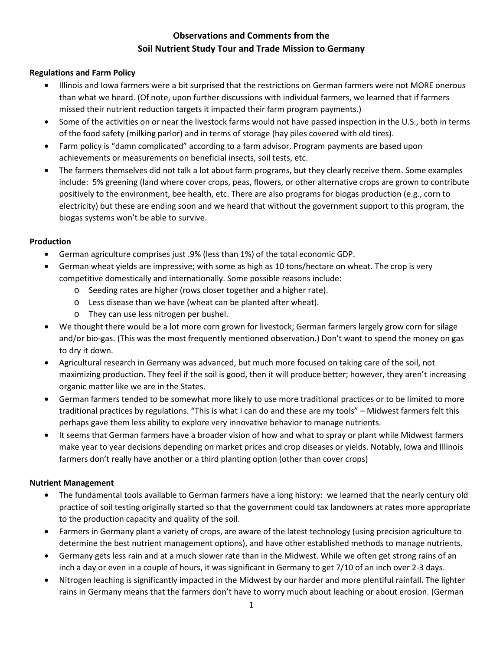# **Observations and Comments from the Soil Nutrient Study Tour and Trade Mission to Germany**

## **Regulations and Farm Policy**

- Illinois and Iowa farmers were a bit surprised that the restrictions on German farmers were not MORE onerous than what we heard. (Of note, upon further discussions with individual farmers, we learned that if farmers missed their nutrient reduction targets it impacted their farm program payments.)
- Some of the activities on or near the livestock farms would not have passed inspection in the U.S., both in terms of the food safety (milking parlor) and in terms of storage (hay piles covered with old tires).
- Farm policy is "damn complicated" according to a farm advisor. Program payments are based upon achievements or measurements on beneficial insects, soil tests, etc.
- The farmers themselves did not talk a lot about farm programs, but they clearly receive them. Some examples include: 5% greening (land where cover crops, peas, flowers, or other alternative crops are grown to contribute positively to the environment, bee health, etc. There are also programs for biogas production (e.g., corn to electricity) but these are ending soon and we heard that without the government support to this program, the biogas systems won't be able to survive.

## **Production**

- German agriculture comprises just .9% (less than 1%) of the total economic GDP.
- German wheat yields are impressive; with some as high as 10 tons/hectare on wheat. The crop is very competitive domestically and internationally. Some possible reasons include:
	- o Seeding rates are higher (rows closer together and a higher rate).
	- o Less disease than we have (wheat can be planted after wheat).
	- o They can use less nitrogen per bushel.
- We thought there would be a lot more corn grown for livestock; German farmers largely grow corn for silage and/or bio-gas. (This was the most frequently mentioned observation.) Don't want to spend the money on gas to dry it down.
- Agricultural research in Germany was advanced, but much more focused on taking care of the soil, not maximizing production. They feel if the soil is good, then it will produce better; however, they aren't increasing organic matter like we are in the States.
- German farmers tended to be somewhat more likely to use more traditional practices or to be limited to more traditional practices by regulations. "This is what I can do and these are my tools" – Midwest farmers felt this perhaps gave them less ability to explore very innovative behavior to manage nutrients.
- It seems that German farmers have a broader vision of how and what to spray or plant while Midwest farmers make year to year decisions depending on market prices and crop diseases or yields. Notably, Iowa and Illinois farmers don't really have another or a third planting option (other than cover crops)

## **Nutrient Management**

- The fundamental tools available to German farmers have a long history: we learned that the nearly century old practice of soil testing originally started so that the government could tax landowners at rates more appropriate to the production capacity and quality of the soil.
- Farmers in Germany plant a variety of crops, are aware of the latest technology (using precision agriculture to determine the best nutrient management options), and have other established methods to manage nutrients.
- Germany gets less rain and at a much slower rate than in the Midwest. While we often get strong rains of an inch a day or even in a couple of hours, it was significant in Germany to get 7/10 of an inch over 2-3 days.
- Nitrogen leaching is significantly impacted in the Midwest by our harder and more plentiful rainfall. The lighter rains in Germany means that the farmers don't have to worry much about leaching or about erosion. (German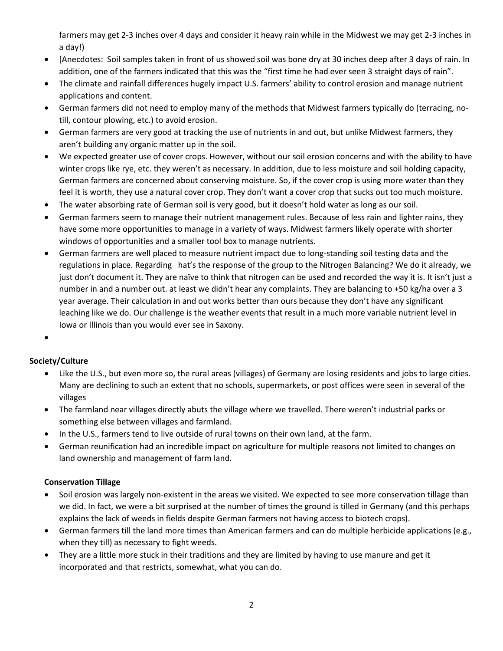farmers may get 2-3 inches over 4 days and consider it heavy rain while in the Midwest we may get 2-3 inches in a day!)

- [Anecdotes: Soil samples taken in front of us showed soil was bone dry at 30 inches deep after 3 days of rain. In addition, one of the farmers indicated that this was the "first time he had ever seen 3 straight days of rain".
- The climate and rainfall differences hugely impact U.S. farmers' ability to control erosion and manage nutrient applications and content.
- German farmers did not need to employ many of the methods that Midwest farmers typically do (terracing, notill, contour plowing, etc.) to avoid erosion.
- German farmers are very good at tracking the use of nutrients in and out, but unlike Midwest farmers, they aren't building any organic matter up in the soil.
- We expected greater use of cover crops. However, without our soil erosion concerns and with the ability to have winter crops like rye, etc. they weren't as necessary. In addition, due to less moisture and soil holding capacity, German farmers are concerned about conserving moisture. So, if the cover crop is using more water than they feel it is worth, they use a natural cover crop. They don't want a cover crop that sucks out too much moisture.
- The water absorbing rate of German soil is very good, but it doesn't hold water as long as our soil.
- German farmers seem to manage their nutrient management rules. Because of less rain and lighter rains, they have some more opportunities to manage in a variety of ways. Midwest farmers likely operate with shorter windows of opportunities and a smaller tool box to manage nutrients.
- German farmers are well placed to measure nutrient impact due to long-standing soil testing data and the regulations in place. Regarding hat's the response of the group to the Nitrogen Balancing? We do it already, we just don't document it. They are naïve to think that nitrogen can be used and recorded the way it is. It isn't just a number in and a number out. at least we didn't hear any complaints. They are balancing to +50 kg/ha over a 3 year average. Their calculation in and out works better than ours because they don't have any significant leaching like we do. Our challenge is the weather events that result in a much more variable nutrient level in Iowa or Illinois than you would ever see in Saxony.
- •

## **Society/Culture**

- Like the U.S., but even more so, the rural areas (villages) of Germany are losing residents and jobs to large cities. Many are declining to such an extent that no schools, supermarkets, or post offices were seen in several of the villages
- The farmland near villages directly abuts the village where we travelled. There weren't industrial parks or something else between villages and farmland.
- In the U.S., farmers tend to live outside of rural towns on their own land, at the farm.
- German reunification had an incredible impact on agriculture for multiple reasons not limited to changes on land ownership and management of farm land.

## **Conservation Tillage**

- Soil erosion was largely non-existent in the areas we visited. We expected to see more conservation tillage than we did. In fact, we were a bit surprised at the number of times the ground is tilled in Germany (and this perhaps explains the lack of weeds in fields despite German farmers not having access to biotech crops).
- German farmers till the land more times than American farmers and can do multiple herbicide applications (e.g., when they till) as necessary to fight weeds.
- They are a little more stuck in their traditions and they are limited by having to use manure and get it incorporated and that restricts, somewhat, what you can do.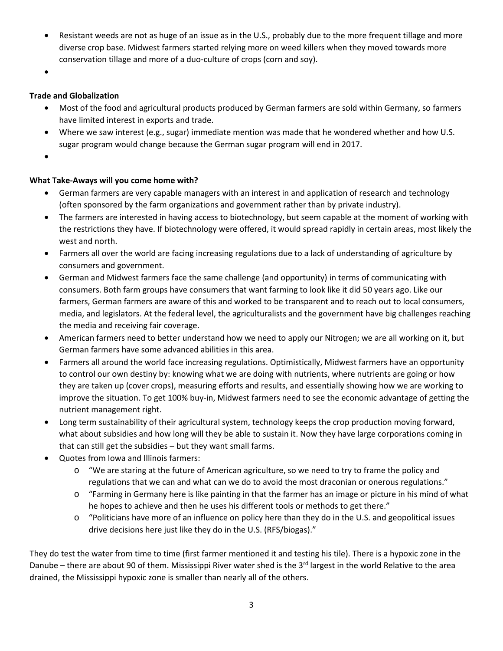- Resistant weeds are not as huge of an issue as in the U.S., probably due to the more frequent tillage and more diverse crop base. Midwest farmers started relying more on weed killers when they moved towards more conservation tillage and more of a duo-culture of crops (corn and soy).
- •

#### **Trade and Globalization**

- Most of the food and agricultural products produced by German farmers are sold within Germany, so farmers have limited interest in exports and trade.
- Where we saw interest (e.g., sugar) immediate mention was made that he wondered whether and how U.S. sugar program would change because the German sugar program will end in 2017.
- •

#### **What Take-Aways will you come home with?**

- German farmers are very capable managers with an interest in and application of research and technology (often sponsored by the farm organizations and government rather than by private industry).
- The farmers are interested in having access to biotechnology, but seem capable at the moment of working with the restrictions they have. If biotechnology were offered, it would spread rapidly in certain areas, most likely the west and north.
- Farmers all over the world are facing increasing regulations due to a lack of understanding of agriculture by consumers and government.
- German and Midwest farmers face the same challenge (and opportunity) in terms of communicating with consumers. Both farm groups have consumers that want farming to look like it did 50 years ago. Like our farmers, German farmers are aware of this and worked to be transparent and to reach out to local consumers, media, and legislators. At the federal level, the agriculturalists and the government have big challenges reaching the media and receiving fair coverage.
- American farmers need to better understand how we need to apply our Nitrogen; we are all working on it, but German farmers have some advanced abilities in this area.
- Farmers all around the world face increasing regulations. Optimistically, Midwest farmers have an opportunity to control our own destiny by: knowing what we are doing with nutrients, where nutrients are going or how they are taken up (cover crops), measuring efforts and results, and essentially showing how we are working to improve the situation. To get 100% buy-in, Midwest farmers need to see the economic advantage of getting the nutrient management right.
- Long term sustainability of their agricultural system, technology keeps the crop production moving forward, what about subsidies and how long will they be able to sustain it. Now they have large corporations coming in that can still get the subsidies – but they want small farms.
- Quotes from Iowa and Illinois farmers:
	- o "We are staring at the future of American agriculture, so we need to try to frame the policy and regulations that we can and what can we do to avoid the most draconian or onerous regulations."
	- o "Farming in Germany here is like painting in that the farmer has an image or picture in his mind of what he hopes to achieve and then he uses his different tools or methods to get there."
	- o "Politicians have more of an influence on policy here than they do in the U.S. and geopolitical issues drive decisions here just like they do in the U.S. (RFS/biogas)."

They do test the water from time to time (first farmer mentioned it and testing his tile). There is a hypoxic zone in the Danube – there are about 90 of them. Mississippi River water shed is the 3<sup>rd</sup> largest in the world Relative to the area drained, the Mississippi hypoxic zone is smaller than nearly all of the others.